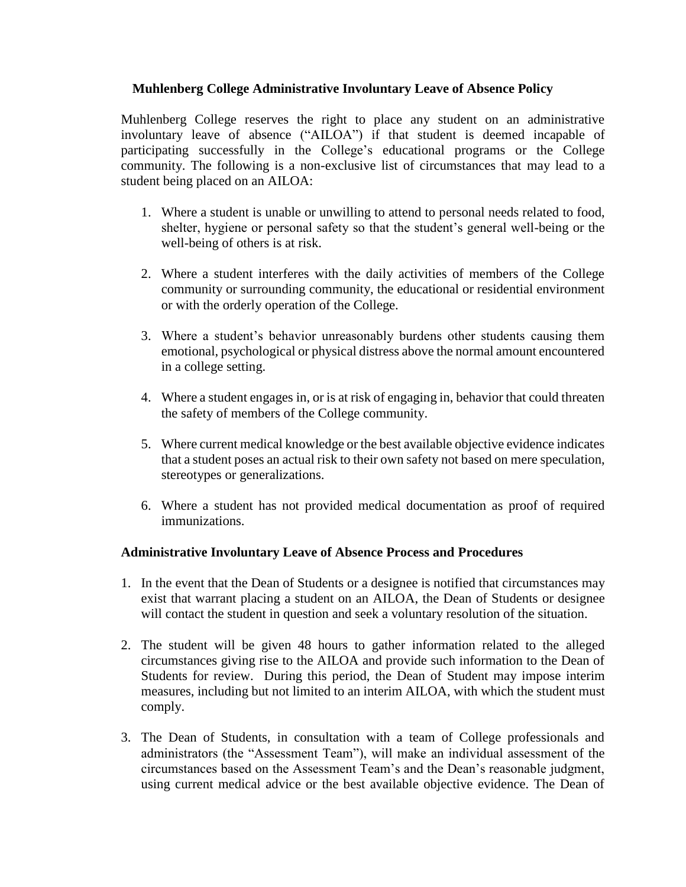## **Muhlenberg College Administrative Involuntary Leave of Absence Policy**

Muhlenberg College reserves the right to place any student on an administrative involuntary leave of absence ("AILOA") if that student is deemed incapable of participating successfully in the College's educational programs or the College community. The following is a non-exclusive list of circumstances that may lead to a student being placed on an AILOA:

- 1. Where a student is unable or unwilling to attend to personal needs related to food, shelter, hygiene or personal safety so that the student's general well-being or the well-being of others is at risk.
- 2. Where a student interferes with the daily activities of members of the College community or surrounding community, the educational or residential environment or with the orderly operation of the College.
- 3. Where a student's behavior unreasonably burdens other students causing them emotional, psychological or physical distress above the normal amount encountered in a college setting.
- 4. Where a student engages in, or is at risk of engaging in, behavior that could threaten the safety of members of the College community.
- 5. Where current medical knowledge or the best available objective evidence indicates that a student poses an actual risk to their own safety not based on mere speculation, stereotypes or generalizations.
- 6. Where a student has not provided medical documentation as proof of required immunizations.

## **Administrative Involuntary Leave of Absence Process and Procedures**

- 1. In the event that the Dean of Students or a designee is notified that circumstances may exist that warrant placing a student on an AILOA, the Dean of Students or designee will contact the student in question and seek a voluntary resolution of the situation.
- 2. The student will be given 48 hours to gather information related to the alleged circumstances giving rise to the AILOA and provide such information to the Dean of Students for review. During this period, the Dean of Student may impose interim measures, including but not limited to an interim AILOA, with which the student must comply.
- 3. The Dean of Students, in consultation with a team of College professionals and administrators (the "Assessment Team"), will make an individual assessment of the circumstances based on the Assessment Team's and the Dean's reasonable judgment, using current medical advice or the best available objective evidence. The Dean of